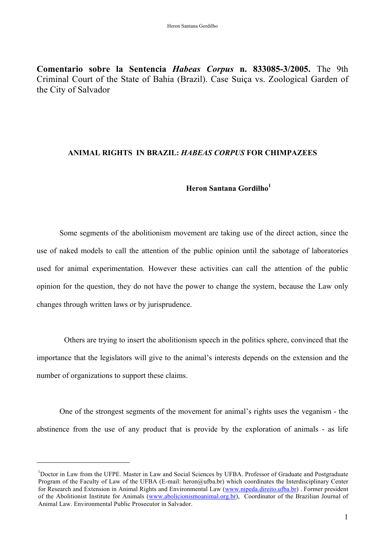**Comentario sobre la Sentencia** *Habeas Corpus* **n. 833085-3/2005.** The 9th Criminal Court of the State of Bahia (Brazil). Case Suiça vs. Zoological Garden of the City of Salvador

## **ANIMAL RIGHTS IN BRAZIL:** *HABEAS CORPUS* **FOR CHIMPAZEES**

## **Heron Santana Gordilho1**

Some segments of the abolitionism movement are taking use of the direct action, since the use of naked models to call the attention of the public opinion until the sabotage of laboratories used for animal experimentation. However these activities can call the attention of the public opinion for the question, they do not have the power to change the system, because the Law only changes through written laws or by jurisprudence.

Others are trying to insert the abolitionism speech in the politics sphere, convinced that the importance that the legislators will give to the animal's interests depends on the extension and the number of organizations to support these claims.

One of the strongest segments of the movement for animal's rights uses the veganism - the abstinence from the use of any product that is provide by the exploration of animals - as life

 $\overline{a}$ 

<sup>&</sup>lt;sup>1</sup>Doctor in Law from the UFPE. Master in Law and Social Sciences by UFBA. Professor of Graduate and Postgraduate Program of the Faculty of Law of the UFBA (E-mail: heron@ufba.br) which coordinates the Interdisciplinary Center for Research and Extension in Animal Rights and Environmental Law (www.nipeda.direito.ufba.br). Former president of the Abolitionist Institute for Animals (www.abolicionismoanimal.org.br), Coordinator of the Brazilian Journal of Animal Law. Environmental Public Prosecutor in Salvador.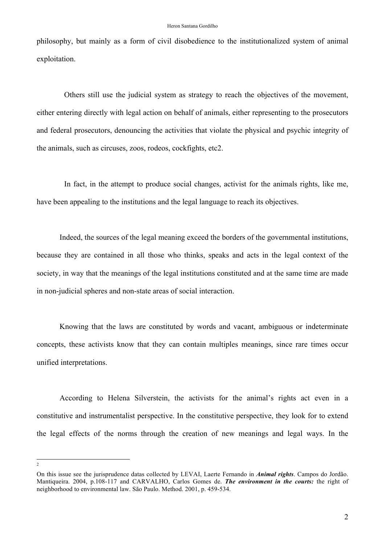philosophy, but mainly as a form of civil disobedience to the institutionalized system of animal exploitation.

Others still use the judicial system as strategy to reach the objectives of the movement, either entering directly with legal action on behalf of animals, either representing to the prosecutors and federal prosecutors, denouncing the activities that violate the physical and psychic integrity of the animals, such as circuses, zoos, rodeos, cockfights, etc2.

In fact, in the attempt to produce social changes, activist for the animals rights, like me, have been appealing to the institutions and the legal language to reach its objectives.

Indeed, the sources of the legal meaning exceed the borders of the governmental institutions, because they are contained in all those who thinks, speaks and acts in the legal context of the society, in way that the meanings of the legal institutions constituted and at the same time are made in non-judicial spheres and non-state areas of social interaction.

Knowing that the laws are constituted by words and vacant, ambiguous or indeterminate concepts, these activists know that they can contain multiples meanings, since rare times occur unified interpretations.

According to Helena Silverstein, the activists for the animal's rights act even in a constitutive and instrumentalist perspective. In the constitutive perspective, they look for to extend the legal effects of the norms through the creation of new meanings and legal ways. In the

 $\frac{1}{2}$ 

On this issue see the jurisprudence datas collected by LEVAI, Laerte Fernando in *Animal rights*. Campos do Jordão. Mantiqueira. 2004, p.108-117 and CARVALHO, Carlos Gomes de. *The environment in the courts:* the right of neighborhood to environmental law. São Paulo. Method. 2001, p. 459-534.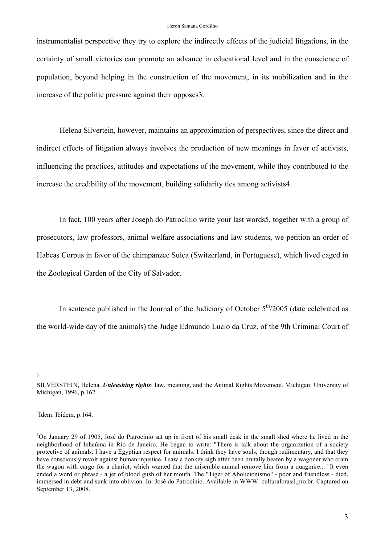## Heron Santana Gordilho

instrumentalist perspective they try to explore the indirectly effects of the judicial litigations, in the certainty of small victories can promote an advance in educational level and in the conscience of population, beyond helping in the construction of the movement, in its mobilization and in the increase of the politic pressure against their opposes3.

Helena Silvertein, however, maintains an approximation of perspectives, since the direct and indirect effects of litigation always involves the production of new meanings in favor of activists, influencing the practices, attitudes and expectations of the movement, while they contributed to the increase the credibility of the movement, building solidarity ties among activists4.

In fact, 100 years after Joseph do Patrocínio write your last words5, together with a group of prosecutors, law professors, animal welfare associations and law students, we petition an order of Habeas Corpus in favor of the chimpanzee Suiça (Switzerland, in Portuguese), which lived caged in the Zoological Garden of the City of Salvador.

In sentence published in the Journal of the Judiciary of October  $5<sup>th</sup>/2005$  (date celebrated as the world-wide day of the animals) the Judge Edmundo Lucio da Cruz, of the 9th Criminal Court of

 3  $\overline{\mathbf{3}}$ 

SILVERSTEIN, Helena. *Unleashing rights*: law, meaning, and the Animal Rights Movement. Michigan: University of Michigan, 1996, p.162.

<sup>4</sup> Idem. Ibidem, p.164.

<sup>5</sup> On January 29 of 1905, José do Patrocínio sat up in front of his small desk in the small shed where he lived in the neighborhood of Inhaúma in Rio de Janeiro. He began to write: "There is talk about the organization of a society protective of animals. I have a Egyptian respect for animals. I think they have souls, though rudimentary, and that they have consciously revolt against human injustice. I saw a donkey sigh after been brutally beaten by a wagoner who cram the wagon with cargo for a chariot, which wanted that the miserable animal remove him from a quagmire... "It even ended a word or phrase - a jet of blood gush of her mouth. The "Tiger of Abolicionismo" - poor and friendless - died, immersed in debt and sunk into oblivion. In: José do Patrocínio. Available in WWW. culturalbrasil.pro.br. Captured on September 13, 2008.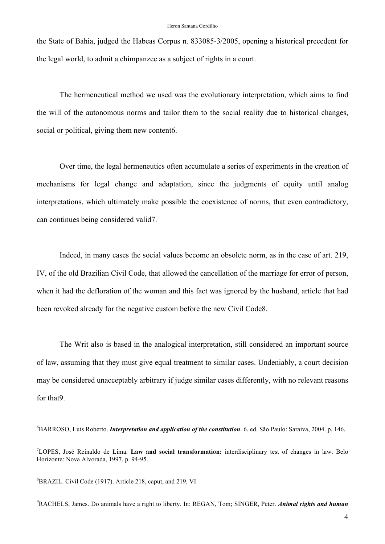the State of Bahia, judged the Habeas Corpus n. 833085-3/2005, opening a historical precedent for the legal world, to admit a chimpanzee as a subject of rights in a court.

The hermeneutical method we used was the evolutionary interpretation, which aims to find the will of the autonomous norms and tailor them to the social reality due to historical changes, social or political, giving them new content6.

Over time, the legal hermeneutics often accumulate a series of experiments in the creation of mechanisms for legal change and adaptation, since the judgments of equity until analog interpretations, which ultimately make possible the coexistence of norms, that even contradictory, can continues being considered valid7.

Indeed, in many cases the social values become an obsolete norm, as in the case of art. 219, IV, of the old Brazilian Civil Code, that allowed the cancellation of the marriage for error of person, when it had the defloration of the woman and this fact was ignored by the husband, article that had been revoked already for the negative custom before the new Civil Code8.

The Writ also is based in the analogical interpretation, still considered an important source of law, assuming that they must give equal treatment to similar cases. Undeniably, a court decision may be considered unacceptably arbitrary if judge similar cases differently, with no relevant reasons for that9.

 $\frac{1}{6}$ BARROSO, Luis Roberto. *Interpretation and application of the constitution*. 6. ed. São Paulo: Saraiva, 2004. p. 146.

<sup>7</sup> LOPES, José Reinaldo de Lima. **Law and social transformation:** interdisciplinary test of changes in law. Belo Horizonte: Nova Alvorada, 1997. p. 94-95.

<sup>&</sup>lt;sup>8</sup>BRAZIL. Civil Code (1917). Article 218, caput, and 219, VI

<sup>9</sup> RACHELS, James. Do animals have a right to liberty. In: REGAN, Tom; SINGER, Peter. *Animal rights and human*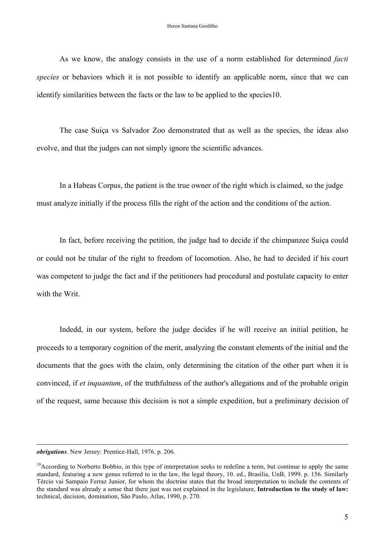As we know, the analogy consists in the use of a norm established for determined *facti species* or behaviors which it is not possible to identify an applicable norm, since that we can identify similarities between the facts or the law to be applied to the species10.

The case Suiça vs Salvador Zoo demonstrated that as well as the species, the ideas also evolve, and that the judges can not simply ignore the scientific advances.

In a Habeas Corpus, the patient is the true owner of the right which is claimed, so the judge must analyze initially if the process fills the right of the action and the conditions of the action.

In fact, before receiving the petition, the judge had to decide if the chimpanzee Suiça could or could not be titular of the right to freedom of locomotion. Also, he had to decided if his court was competent to judge the fact and if the petitioners had procedural and postulate capacity to enter with the Writ.

Indedd, in our system, before the judge decides if he will receive an initial petition, he proceeds to a temporary cognition of the merit, analyzing the constant elements of the initial and the documents that the goes with the claim, only determining the citation of the other part when it is convinced, if *et inquantum*, of the truthfulness of the author's allegations and of the probable origin of the request, same because this decision is not a simple expedition, but a preliminary decision of

 $\overline{a}$ 

*obrigations.* New Jersey: Prentice-Hall, 1976. p. 206.

 $10$ According to Norberto Bobbio, in this type of interpretation seeks to redefine a term, but continue to apply the same standard, featuring a new genus referred to in the law, the legal theory, 10. ed., Brasília, UnB, 1999. p. 156. Similarly Tércio vai Sampaio Ferraz Junior, for whom the doctrine states that the broad interpretation to include the contents of the standard was already a sense that there just was not explained in the legislature, **Introduction to the study of law:** technical, decision, domination, São Paulo, Atlas, 1990, p. 270.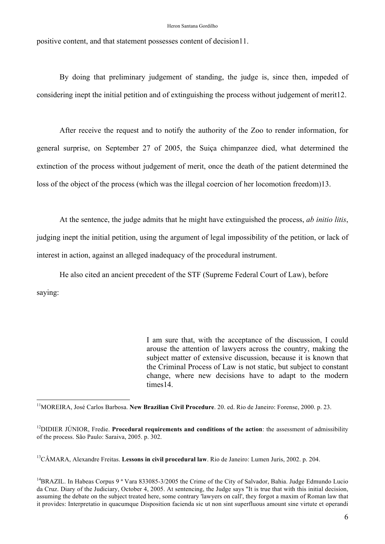positive content, and that statement possesses content of decision11.

By doing that preliminary judgement of standing, the judge is, since then, impeded of considering inept the initial petition and of extinguishing the process without judgement of merit12.

After receive the request and to notify the authority of the Zoo to render information, for general surprise, on September 27 of 2005, the Suiça chimpanzee died, what determined the extinction of the process without judgement of merit, once the death of the patient determined the loss of the object of the process (which was the illegal coercion of her locomotion freedom)13.

At the sentence, the judge admits that he might have extinguished the process, *ab initio litis*, judging inept the initial petition, using the argument of legal impossibility of the petition, or lack of interest in action, against an alleged inadequacy of the procedural instrument.

He also cited an ancient precedent of the STF (Supreme Federal Court of Law), before saying:

> I am sure that, with the acceptance of the discussion, I could arouse the attention of lawyers across the country, making the subject matter of extensive discussion, because it is known that the Criminal Process of Law is not static, but subject to constant change, where new decisions have to adapt to the modern times14.

<sup>12</sup>DIDIER JÚNIOR, Fredie. **Procedural requirements and conditions of the action**: the assessment of admissibility of the process. São Paulo: Saraiva, 2005. p. 302.

13CÂMARA, Alexandre Freitas. **Lessons in civil procedural law**. Rio de Janeiro: Lumen Juris, 2002. p. 204.

<sup>14</sup>BRAZIL. In Habeas Corpus 9<sup>ª</sup> Vara 833085-3/2005 the Crime of the City of Salvador, Bahia. Judge Edmundo Lucio da Cruz. Diary of the Judiciary, October 4, 2005. At sentencing, the Judge says "It is true that with this initial decision, assuming the debate on the subject treated here, some contrary 'lawyers on call', they forgot a maxim of Roman law that it provides: Interpretatio in quacumque Disposition facienda sic ut non sint superfluous amount sine virtute et operandi

 <sup>11</sup>MOREIRA, José Carlos Barbosa. **New Brazilian Civil Procedure**. 20. ed. Rio de Janeiro: Forense, 2000. p. 23.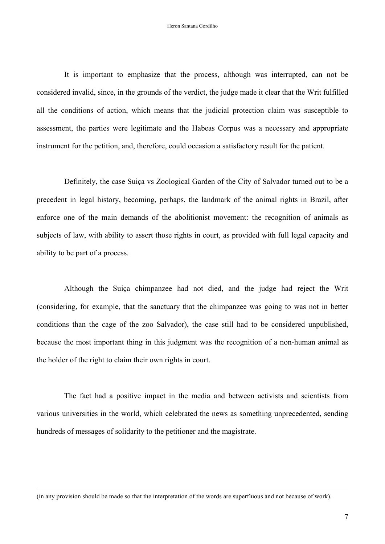It is important to emphasize that the process, although was interrupted, can not be considered invalid, since, in the grounds of the verdict, the judge made it clear that the Writ fulfilled all the conditions of action, which means that the judicial protection claim was susceptible to assessment, the parties were legitimate and the Habeas Corpus was a necessary and appropriate instrument for the petition, and, therefore, could occasion a satisfactory result for the patient.

Definitely, the case Suiça vs Zoological Garden of the City of Salvador turned out to be a precedent in legal history, becoming, perhaps, the landmark of the animal rights in Brazil, after enforce one of the main demands of the abolitionist movement: the recognition of animals as subjects of law, with ability to assert those rights in court, as provided with full legal capacity and ability to be part of a process.

Although the Suiça chimpanzee had not died, and the judge had reject the Writ (considering, for example, that the sanctuary that the chimpanzee was going to was not in better conditions than the cage of the zoo Salvador), the case still had to be considered unpublished, because the most important thing in this judgment was the recognition of a non-human animal as the holder of the right to claim their own rights in court.

The fact had a positive impact in the media and between activists and scientists from various universities in the world, which celebrated the news as something unprecedented, sending hundreds of messages of solidarity to the petitioner and the magistrate.

 $\overline{a}$ 

<sup>(</sup>in any provision should be made so that the interpretation of the words are superfluous and not because of work).